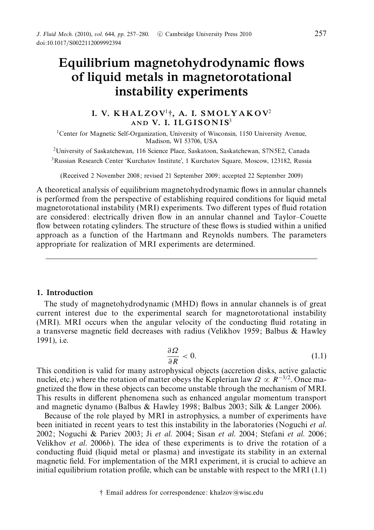# *Equilibrium magnetohydrodynamic flows of liquid metals in magnetorotational instability experiments*

# *I. V. K H A L Z O V*<sup>1</sup>†*, A. I. SM O L Y A K O V*<sup>2</sup> AND **V. I. ILGISONIS**<sup>3</sup>

<sup>1</sup>Center for Magnetic Self-Organization, University of Wisconsin, 1150 University Avenue, Madison, WI 53706, USA

2University of Saskatchewan, 116 Science Place, Saskatoon, Saskatchewan, S7N5E2, Canada 3Russian Research Center 'Kurchatov Institute', 1 Kurchatov Square, Moscow, 123182, Russia

(Received 2 November 2008; revised 21 September 2009; accepted 22 September 2009)

A theoretical analysis of equilibrium magnetohydrodynamic flows in annular channels is performed from the perspective of establishing required conditions for liquid metal magnetorotational instability (MRI) experiments. Two different types of fluid rotation are considered: electrically driven flow in an annular channel and Taylor–Couette flow between rotating cylinders. The structure of these flows is studied within a unified approach as a function of the Hartmann and Reynolds numbers. The parameters appropriate for realization of MRI experiments are determined.

# *1. Introduction*

The study of magnetohydrodynamic (MHD) flows in annular channels is of great current interest due to the experimental search for magnetorotational instability (MRI). MRI occurs when the angular velocity of the conducting fluid rotating in a transverse magnetic field decreases with radius (Velikhov 1959; Balbus & Hawley 1991), i.e.

$$
\frac{\partial \Omega}{\partial R} < 0. \tag{1.1}
$$

This condition is valid for many astrophysical objects (accretion disks, active galactic nuclei, etc.) where the rotation of matter obeys the Keplerian law  $\Omega \propto R^{-3/2}$ . Once magnetized the flow in these objects can become unstable through the mechanism of MRI. This results in different phenomena such as enhanced angular momentum transport and magnetic dynamo (Balbus & Hawley 1998; Balbus 2003; Silk & Langer 2006).

Because of the role played by MRI in astrophysics, a number of experiments have been initiated in recent years to test this instability in the laboratories (Noguchi *et al.*) 2002; Noguchi & Pariev 2003; Ji et al. 2004; Sisan et al. 2004; Stefani et al. 2006; Velikhov *et al.* 2006b). The idea of these experiments is to drive the rotation of a conducting fluid (liquid metal or plasma) and investigate its stability in an external magnetic field. For implementation of the MRI experiment, it is crucial to achieve an initial equilibrium rotation profile, which can be unstable with respect to the MRI  $(1.1)$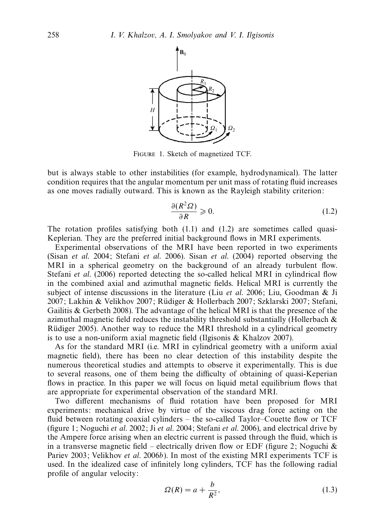

Figure 1. Sketch of magnetized TCF.

but is always stable to other instabilities (for example, hydrodynamical). The latter condition requires that the angular momentum per unit mass of rotating fluid increases as one moves radially outward. This is known as the Rayleigh stability criterion:

$$
\frac{\partial (R^2 \Omega)}{\partial R} \ge 0. \tag{1.2}
$$

The rotation profiles satisfying both  $(1.1)$  and  $(1.2)$  are sometimes called quasi-Keplerian. They are the preferred initial background flows in MRI experiments.

Experimental observations of the MRI have been reported in two experiments (Sisan et al. 2004; Stefani et al. 2006). Sisan et al. (2004) reported observing the MRI in a spherical geometry on the background of an already turbulent flow. Stefani *et al.* (2006) reported detecting the so-called helical MRI in cylindrical flow in the combined axial and azimuthal magnetic fields. Helical MRI is currently the subject of intense discussions in the literature (Liu *et al.* 2006; Liu, Goodman & Ji 2007; Lakhin & Velikhov 2007; Rudiger & Hollerbach 2007; Szklarski 2007; Stefani, ¨ Gailitis & Gerbeth 2008). The advantage of the helical MRI is that the presence of the azimuthal magnetic field reduces the instability threshold substantially (Hollerbach  $\&$ Rüdiger 2005). Another way to reduce the MRI threshold in a cylindrical geometry is to use a non-uniform axial magnetic field (Ilgisonis & Khalzov 2007).

As for the standard MRI (i.e. MRI in cylindrical geometry with a uniform axial magnetic field), there has been no clear detection of this instability despite the numerous theoretical studies and attempts to observe it experimentally. This is due to several reasons, one of them being the difficulty of obtaining of quasi-Keperian flows in practice. In this paper we will focus on liquid metal equilibrium flows that are appropriate for experimental observation of the standard MRI.

Two different mechanisms of fluid rotation have been proposed for MRI experiments: mechanical drive by virtue of the viscous drag force acting on the fluid between rotating coaxial cylinders – the so-called Taylor–Couette flow or TCF (figure 1; Noguchi *et al.* 2002; Ji *et al.* 2004; Stefani *et al.* 2006), and electrical drive by the Ampere force arising when an electric current is passed through the fluid, which is in a transverse magnetic field – electrically driven flow or EDF (figure 2; Noguchi  $\&$ Pariev 2003; Velikhov et al. 2006b). In most of the existing MRI experiments TCF is used. In the idealized case of infinitely long cylinders, TCF has the following radial profile of angular velocity:

$$
\Omega(R) = a + \frac{b}{R^2},\tag{1.3}
$$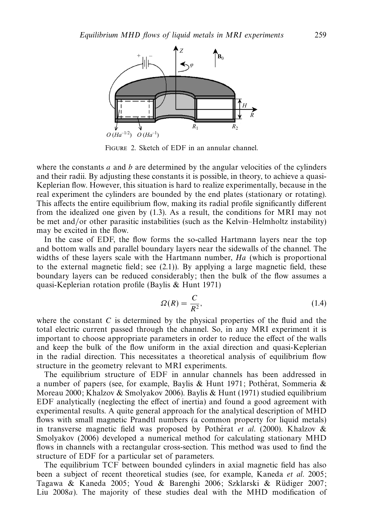

Figure 2. Sketch of EDF in an annular channel.

where the constants *a* and *b* are determined by the angular velocities of the cylinders and their radii. By adjusting these constants it is possible, in theory, to achieve a quasi-Keplerian flow. However, this situation is hard to realize experimentally, because in the real experiment the cylinders are bounded by the end plates (stationary or rotating). This affects the entire equilibrium flow, making its radial profile significantly different from the idealized one given by (1.3). As a result, the conditions for MRI may not be met and/or other parasitic instabilities (such as the Kelvin–Helmholtz instability) may be excited in the flow.

In the case of EDF, the flow forms the so-called Hartmann layers near the top and bottom walls and parallel boundary layers near the sidewalls of the channel. The widths of these layers scale with the Hartmann number, Ha (which is proportional to the external magnetic field; see (2.1)). By applying a large magnetic field, these boundary layers can be reduced considerably; then the bulk of the flow assumes a quasi-Keplerian rotation profile (Baylis & Hunt 1971)

$$
\Omega(R) = \frac{C}{R^2},\tag{1.4}
$$

where the constant  $C$  is determined by the physical properties of the fluid and the total electric current passed through the channel. So, in any MRI experiment it is important to choose appropriate parameters in order to reduce the effect of the walls and keep the bulk of the flow uniform in the axial direction and quasi-Keplerian in the radial direction. This necessitates a theoretical analysis of equilibrium flow structure in the geometry relevant to MRI experiments.

The equilibrium structure of EDF in annular channels has been addressed in a number of papers (see, for example, Baylis & Hunt 1971; Potherat, Sommeria & Moreau 2000; Khalzov & Smolyakov 2006). Baylis & Hunt (1971) studied equilibrium EDF analytically (neglecting the effect of inertia) and found a good agreement with experimental results. A quite general approach for the analytical description of MHD flows with small magnetic Prandtl numbers (a common property for liquid metals) in transverse magnetic field was proposed by Potherat *et al.* (2000). Khalzov  $\&$ Smolyakov (2006) developed a numerical method for calculating stationary MHD flows in channels with a rectangular cross-section. This method was used to find the structure of EDF for a particular set of parameters.

The equilibrium TCF between bounded cylinders in axial magnetic field has also been a subject of recent theoretical studies (see, for example, Kaneda et al. 2005; Tagawa & Kaneda 2005; Youd & Barenghi 2006; Szklarski & Rüdiger 2007; Liu 2008a). The majority of these studies deal with the MHD modification of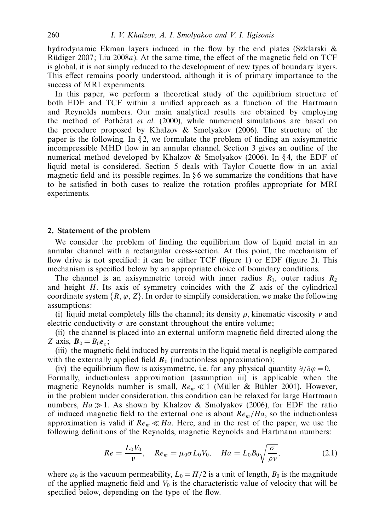hydrodynamic Ekman layers induced in the flow by the end plates (Szklarski  $\&$ Rüdiger 2007; Liu 2008 $a$ ). At the same time, the effect of the magnetic field on TCF is global, it is not simply reduced to the development of new types of boundary layers. This effect remains poorly understood, although it is of primary importance to the success of MRI experiments.

In this paper, we perform a theoretical study of the equilibrium structure of both EDF and TCF within a unified approach as a function of the Hartmann and Reynolds numbers. Our main analytical results are obtained by employing the method of Potherat  $et \ al.$  (2000), while numerical simulations are based on the procedure proposed by Khalzov & Smolyakov (2006). The structure of the paper is the following. In  $\S$ 2, we formulate the problem of finding an axisymmetric incompressible MHD flow in an annular channel. Section 3 gives an outline of the numerical method developed by Khalzov & Smolyakov (2006). In § 4, the EDF of liquid metal is considered. Section 5 deals with Taylor–Couette flow in an axial magnetic field and its possible regimes. In  $\S 6$  we summarize the conditions that have to be satisfied in both cases to realize the rotation profiles appropriate for MRI experiments.

# *2. Statement of the problem*

We consider the problem of finding the equilibrium flow of liquid metal in an annular channel with a rectangular cross-section. At this point, the mechanism of flow drive is not specified: it can be either TCF (figure 1) or EDF (figure 2). This mechanism is specified below by an appropriate choice of boundary conditions.

The channel is an axisymmetric toroid with inner radius  $R_1$ , outer radius  $R_2$ and height *H*. Its axis of symmetry coincides with the *Z* axis of the cylindrical coordinate system  $\{R, \varphi, Z\}$ . In order to simplify consideration, we make the following assumptions:

(i) liquid metal completely fills the channel; its density *ρ*, kinematic viscosity *ν* and electric conductivity  $\sigma$  are constant throughout the entire volume:

(ii) the channel is placed into an external uniform magnetic field directed along the *Z* axis,  $\mathbf{B}_0 = B_0 \mathbf{e}_z$ ;

(iii) the magnetic field induced by currents in the liquid metal is negligible compared with the externally applied field  $\mathbf{B}_0$  (inductionless approximation);

(iv) the equilibrium flow is axisymmetric, i.e. for any physical quantity  $\partial/\partial \varphi = 0$ . Formally, inductionless approximation (assumption iii) is applicable when the magnetic Reynolds number is small,  $Re_m \ll 1$  (Müller & Bühler 2001). However, in the problem under consideration, this condition can be relaxed for large Hartmann numbers,  $Ha \gg 1$ . As shown by Khalzov & Smolyakov (2006), for EDF the ratio of induced magnetic field to the external one is about  $Re_m/Ha$ , so the inductionless approximation is valid if  $Re_m \ll Ha$ . Here, and in the rest of the paper, we use the following definitions of the Reynolds, magnetic Reynolds and Hartmann numbers:

$$
Re = \frac{L_0 V_0}{\nu}, \quad Re_m = \mu_0 \sigma L_0 V_0, \quad Ha = L_0 B_0 \sqrt{\frac{\sigma}{\rho \nu}}, \tag{2.1}
$$

where  $\mu_0$  is the vacuum permeability,  $L_0 = H/2$  is a unit of length,  $B_0$  is the magnitude of the applied magnetic field and  $V_0$  is the characteristic value of velocity that will be specified below, depending on the type of the flow.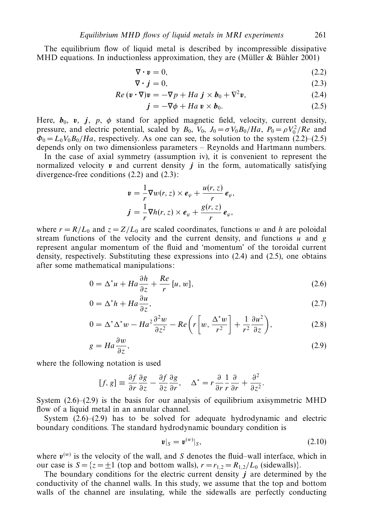The equilibrium flow of liquid metal is described by incompressible dissipative MHD equations. In inductionless approximation, they are (Müller  $&$  Bühler 2001)

$$
\nabla \cdot \mathbf{v} = 0,\tag{2.2}
$$

$$
\nabla \cdot \mathbf{j} = 0,\tag{2.3}
$$

$$
Re\,(\mathbf{v}\cdot\nabla)\mathbf{v}=-\nabla p+Ha\,\,\mathbf{j}\times\mathbf{b}_0+\nabla^2\mathbf{v},\qquad(2.4)
$$

$$
\mathbf{j} = -\nabla \phi + Ha \,\mathbf{v} \times \mathbf{b}_0. \tag{2.5}
$$

Here,  $b_0$ ,  $v$ ,  $j$ ,  $p$ ,  $\phi$  stand for applied magnetic field, velocity, current density, pressure, and electric potential, scaled by  $B_0$ ,  $V_0$ ,  $J_0 = \sigma V_0 B_0 / Ha$ ,  $P_0 = \rho V_0^2 / Re$  and  $\Phi_0 = L_0 V_0 B_0 / Ha$ , respectively. As one can see, the solution to the system (2.2)–(2.5) depends only on two dimensionless parameters – Reynolds and Hartmann numbers.

In the case of axial symmetry (assumption iv), it is convenient to represent the normalized velocity  $v$  and current density  $j$  in the form, automatically satisfying divergence-free conditions (2.2) and (2.3):

$$
\mathbf{v} = \frac{1}{r} \nabla w(r, z) \times \mathbf{e}_{\varphi} + \frac{u(r, z)}{r} \mathbf{e}_{\varphi},
$$

$$
\mathbf{j} = \frac{1}{r} \nabla h(r, z) \times \mathbf{e}_{\varphi} + \frac{g(r, z)}{r} \mathbf{e}_{\varphi},
$$

where  $r = R/L_0$  and  $z = Z/L_0$  are scaled coordinates, functions *w* and *h* are poloidal stream functions of the velocity and the current density, and functions *u* and *g* represent angular momentum of the fluid and 'momentum' of the toroidal current density, respectively. Substituting these expressions into (2.4) and (2.5), one obtains after some mathematical manipulations:

$$
0 = \Delta^* u + Ha \frac{\partial h}{\partial z} + \frac{Re}{r} [u, w], \qquad (2.6)
$$

$$
0 = \Delta^* h + Ha \frac{\partial u}{\partial z},\tag{2.7}
$$

$$
0 = \Delta^* \Delta^* w - H a^2 \frac{\partial^2 w}{\partial z^2} - Re \left( r \left[ w, \frac{\Delta^* w}{r^2} \right] + \frac{1}{r^2} \frac{\partial u^2}{\partial z} \right),\tag{2.8}
$$

$$
g = Ha \frac{\partial w}{\partial z},\tag{2.9}
$$

where the following notation is used

$$
[f, g] \equiv \frac{\partial f}{\partial r} \frac{\partial g}{\partial z} - \frac{\partial f}{\partial z} \frac{\partial g}{\partial r}, \quad \Delta^* = r \frac{\partial}{\partial r} \frac{1}{r} \frac{\partial}{\partial r} + \frac{\partial^2}{\partial z^2}.
$$

System  $(2.6)$ – $(2.9)$  is the basis for our analysis of equilibrium axisymmetric MHD flow of a liquid metal in an annular channel.

System (2.6)–(2.9) has to be solved for adequate hydrodynamic and electric boundary conditions. The standard hydrodynamic boundary condition is

$$
\boldsymbol{v}|_{S} = \boldsymbol{v}^{(w)}|_{S},\tag{2.10}
$$

where  $v^{(w)}$  is the velocity of the wall, and *S* denotes the fluid–wall interface, which in our case is  $S = \{z = \pm 1 \text{ (top and bottom walls)}, r = r_{1,2} = R_{1,2}/L_0 \text{ (sidewalls)}\}.$ 

The boundary conditions for the electric current density *j* are determined by the conductivity of the channel walls. In this study, we assume that the top and bottom walls of the channel are insulating, while the sidewalls are perfectly conducting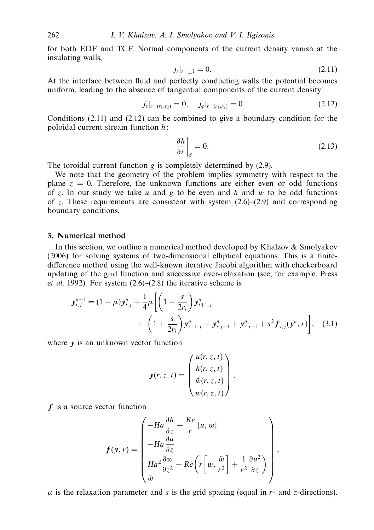for both EDF and TCF. Normal components of the current density vanish at the insulating walls,

$$
j_z|_{z=\pm 1} = 0. \tag{2.11}
$$

At the interface between fluid and perfectly conducting walls the potential becomes uniform, leading to the absence of tangential components of the current density

$$
j_z|_{r=(r_1,r_2)}=0, \quad j_{\varphi}|_{r=(r_1,r_2)}=0
$$
 (2.12)

Conditions (2.11) and (2.12) can be combined to give a boundary condition for the poloidal current stream function *h*:

$$
\left. \frac{\partial h}{\partial r} \right|_{S} = 0. \tag{2.13}
$$

The toroidal current function *g* is completely determined by (2.9).

We note that the geometry of the problem implies symmetry with respect to the plane  $z = 0$ . Therefore, the unknown functions are either even or odd functions of *z*. In our study we take *u* and *g* to be even and *h* and *w* to be odd functions of *z*. These requirements are consistent with system  $(2.6)$ – $(2.9)$  and corresponding boundary conditions.

# *3. Numerical method*

In this section, we outline a numerical method developed by Khalzov & Smolyakov (2006) for solving systems of two-dimensional elliptical equations. This is a finitedifference method using the well-known iterative Jacobi algorithm with checkerboard updating of the grid function and successive over-relaxation (see, for example, Press et al. 1992). For system  $(2.6)$ – $(2.8)$  the iterative scheme is

$$
\mathbf{y}_{i,j}^{n+1} = (1 - \mu)\mathbf{y}_{i,j}^{n} + \frac{1}{4}\mu \left[ \left( 1 - \frac{s}{2r_i} \right) \mathbf{y}_{i+1,j}^{n} + \left( 1 + \frac{s}{2r_i} \right) \mathbf{y}_{i-1,j}^{n} + \mathbf{y}_{i,j+1}^{n} + \mathbf{y}_{i,j-1}^{n} + s^2 \mathbf{f}_{i,j}(\mathbf{y}^{n}, r) \right], \quad (3.1)
$$

where *y* is an unknown vector function

$$
\mathbf{y}(r,z,t) = \begin{pmatrix} u(r,z,t) \\ h(r,z,t) \\ \tilde{w}(r,z,t) \\ w(r,z,t) \end{pmatrix},
$$

*f* is a source vector function

$$
f(y,r) = \begin{pmatrix} -Ha\frac{\partial h}{\partial z} - \frac{Re}{r} [u, w] \\ -Ha\frac{\partial u}{\partial z} \\ Ha^2 \frac{\partial w}{\partial z^2} + Re\left(r \left[ w, \frac{\tilde{w}}{r^2} \right] + \frac{1}{r^2} \frac{\partial u^2}{\partial z} \right) \\ \tilde{w} \end{pmatrix},
$$

 $\mu$  is the relaxation parameter and *s* is the grid spacing (equal in *r*- and *z*-directions).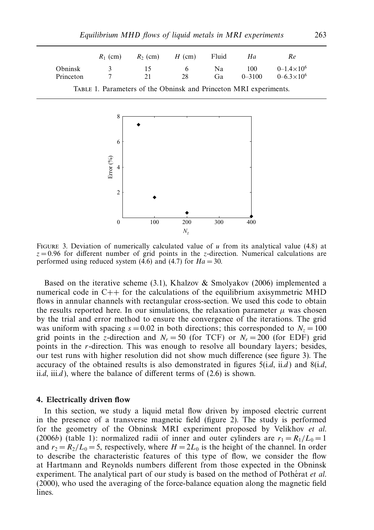|           | $R_1$ (cm) | $R_2$ (cm) | $H$ (cm) | Fluid | Ha         | Re.                     |
|-----------|------------|------------|----------|-------|------------|-------------------------|
| Obninsk   | $\sim$     | 15         | 6        | Na.   | 100        | $0 - 1.4 \times 10^{6}$ |
| Princeton |            | 21         | 28       | Ga.   | $0 - 3100$ | $0 - 6.3 \times 10^{6}$ |



Figure 3. Deviation of numerically calculated value of *u* from its analytical value (4.8) at  $z = 0.96$  for different number of grid points in the *z*-direction. Numerical calculations are performed using reduced system (4.6) and (4.7) for  $Ha = 30$ .

Based on the iterative scheme (3.1), Khalzov & Smolyakov (2006) implemented a numerical code in C++ for the calculations of the equilibrium axisymmetric MHD flows in annular channels with rectangular cross-section. We used this code to obtain the results reported here. In our simulations, the relaxation parameter  $\mu$  was chosen by the trial and error method to ensure the convergence of the iterations. The grid was uniform with spacing  $s = 0.02$  in both directions; this corresponded to  $N_z = 100$ grid points in the *z*-direction and  $N_r = 50$  (for TCF) or  $N_r = 200$  (for EDF) grid points in the *r*-direction. This was enough to resolve all boundary layers; besides, our test runs with higher resolution did not show much difference (see figure 3). The accuracy of the obtained results is also demonstrated in figures  $5(i.d, ii.d)$  and  $8(i.d,$ ii.d, iii.d), where the balance of different terms of  $(2.6)$  is shown.

#### *4. Electrically driven flow*

In this section, we study a liquid metal flow driven by imposed electric current in the presence of a transverse magnetic field (figure 2). The study is performed for the geometry of the Obninsk MRI experiment proposed by Velikhov et al. (2006b) (table 1): normalized radii of inner and outer cylinders are  $r_1 = R_1/L_0 = 1$ and  $r_2 = R_2/L_0 = 5$ , respectively, where  $H = 2L_0$  is the height of the channel. In order to describe the characteristic features of this type of flow, we consider the flow at Hartmann and Reynolds numbers different from those expected in the Obninsk experiment. The analytical part of our study is based on the method of Potherat  $et$   $al$ . (2000), who used the averaging of the force-balance equation along the magnetic field lines.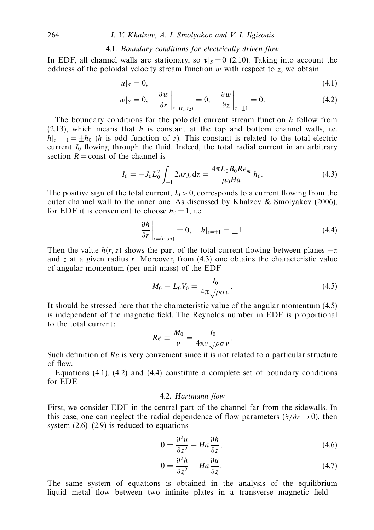#### 4.1. Boundary conditions for electrically driven flow

In EDF, all channel walls are stationary, so  $v|_S = 0$  (2.10). Taking into account the oddness of the poloidal velocity stream function  $w$  with respect to  $z$ , we obtain

$$
u|_{S}=0,\t\t(4.1)
$$

$$
w|_{S} = 0, \quad \frac{\partial w}{\partial r}\bigg|_{r = (r_1, r_2)} = 0, \quad \frac{\partial w}{\partial z}\bigg|_{z = \pm 1} = 0. \tag{4.2}
$$

The boundary conditions for the poloidal current stream function *h* follow from  $(2.13)$ , which means that *h* is constant at the top and bottom channel walls, i.e.  $h|_{z=+1} = \pm h_0$  (*h* is odd function of *z*). This constant is related to the total electric current  $I_0$  flowing through the fluid. Indeed, the total radial current in an arbitrary section  $R =$ const of the channel is

$$
I_0 = -J_0 L_0^2 \int_{-1}^1 2\pi r j_r \mathrm{d}z = \frac{4\pi L_0 B_0 R e_m}{\mu_0 H a} h_0. \tag{4.3}
$$

The positive sign of the total current,  $I_0 > 0$ , corresponds to a current flowing from the outer channel wall to the inner one. As discussed by Khalzov & Smolyakov (2006), for EDF it is convenient to choose  $h_0 = 1$ , i.e.

$$
\left. \frac{\partial h}{\partial r} \right|_{r = (r_1, r_2)} = 0, \quad h|_{z = \pm 1} = \pm 1. \tag{4.4}
$$

Then the value  $h(r, z)$  shows the part of the total current flowing between planes  $-z$ and  $z$  at a given radius  $r$ . Moreover, from  $(4.3)$  one obtains the characteristic value of angular momentum (per unit mass) of the EDF

$$
M_0 \equiv L_0 V_0 = \frac{I_0}{4\pi \sqrt{\rho \sigma \nu}}.\tag{4.5}
$$

It should be stressed here that the characteristic value of the angular momentum (4.5) is independent of the magnetic field. The Reynolds number in EDF is proportional to the total current:

$$
Re \equiv \frac{M_0}{\nu} = \frac{I_0}{4\pi\nu\sqrt{\rho\sigma\nu}}.
$$

Such definition of Re is very convenient since it is not related to a particular structure of flow.

Equations  $(4.1)$ ,  $(4.2)$  and  $(4.4)$  constitute a complete set of boundary conditions for EDF.

# 4.2. Hartmann flow

First, we consider EDF in the central part of the channel far from the sidewalls. In this case, one can neglect the radial dependence of flow parameters (*∂/∂r* →0), then system  $(2.6)$ – $(2.9)$  is reduced to equations

$$
0 = \frac{\partial^2 u}{\partial z^2} + Ha \frac{\partial h}{\partial z},\tag{4.6}
$$

$$
0 = \frac{\partial^2 h}{\partial z^2} + Ha \frac{\partial u}{\partial z}.
$$
\n(4.7)

The same system of equations is obtained in the analysis of the equilibrium liquid metal flow between two infinite plates in a transverse magnetic field –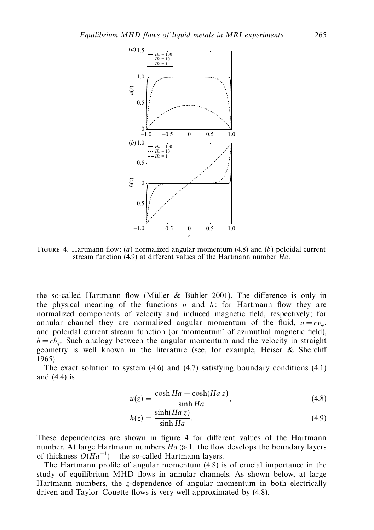

FIGURE 4. Hartmann flow: (a) normalized angular momentum (4.8) and (b) poloidal current stream function (4.9) at different values of the Hartmann number Ha.

the so-called Hartmann flow (Müller & Bühler 2001). The difference is only in the physical meaning of the functions *u* and *h*: for Hartmann flow they are normalized components of velocity and induced magnetic field, respectively; for annular channel they are normalized angular momentum of the fluid,  $u = rv_{\omega}$ , and poloidal current stream function (or 'momentum' of azimuthal magnetic field),  $h = rb_{\omega}$ . Such analogy between the angular momentum and the velocity in straight geometry is well known in the literature (see, for example, Heiser & Shercliff 1965).

The exact solution to system (4.6) and (4.7) satisfying boundary conditions (4.1) and (4.4) is

$$
u(z) = \frac{\cosh Ha - \cosh(Ha\,z)}{\sinh Ha},\tag{4.8}
$$

$$
h(z) = \frac{\sinh(Haz)}{\sinh Ha}.
$$
\n(4.9)

These dependencies are shown in figure 4 for different values of the Hartmann number. At large Hartmann numbers  $Ha \gg 1$ , the flow develops the boundary layers of thickness  $O(Ha^{-1})$  – the so-called Hartmann layers.

The Hartmann profile of angular momentum (4.8) is of crucial importance in the study of equilibrium MHD flows in annular channels. As shown below, at large Hartmann numbers, the *z*-dependence of angular momentum in both electrically driven and Taylor–Couette flows is very well approximated by (4.8).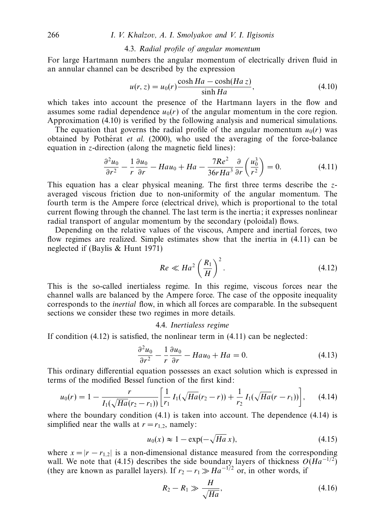#### 4.3. Radial profile of angular momentum

For large Hartmann numbers the angular momentum of electrically driven fluid in an annular channel can be described by the expression

$$
u(r, z) = u_0(r) \frac{\cosh Ha - \cosh(Ha z)}{\sinh Ha}, \qquad (4.10)
$$

which takes into account the presence of the Hartmann layers in the flow and assumes some radial dependence  $u_0(r)$  of the angular momentum in the core region. Approximation (4.10) is verified by the following analysis and numerical simulations.

The equation that governs the radial profile of the angular momentum  $u_0(r)$  was obtained by Potherat *et al.* (2000), who used the averaging of the force-balance equation in *z*-direction (along the magnetic field lines):

$$
\frac{\partial^2 u_0}{\partial r^2} - \frac{1}{r} \frac{\partial u_0}{\partial r} - H a u_0 + H a - \frac{7Re^2}{36rHa^3} \frac{\partial}{\partial r} \left(\frac{u_0^3}{r^2}\right) = 0.
$$
 (4.11)

This equation has a clear physical meaning. The first three terms describe the *z*averaged viscous friction due to non-uniformity of the angular momentum. The fourth term is the Ampere force (electrical drive), which is proportional to the total current flowing through the channel. The last term is the inertia; it expresses nonlinear radial transport of angular momentum by the secondary (poloidal) flows.

Depending on the relative values of the viscous, Ampere and inertial forces, two flow regimes are realized. Simple estimates show that the inertia in (4.11) can be neglected if (Baylis & Hunt 1971)

$$
Re \ll Ha^2 \left(\frac{R_1}{H}\right)^2.
$$
 (4.12)

This is the so-called inertialess regime. In this regime, viscous forces near the channel walls are balanced by the Ampere force. The case of the opposite inequality corresponds to the inertial flow, in which all forces are comparable. In the subsequent sections we consider these two regimes in more details.

#### 4.4. Inertialess regime

If condition  $(4.12)$  is satisfied, the nonlinear term in  $(4.11)$  can be neglected:

$$
\frac{\partial^2 u_0}{\partial r^2} - \frac{1}{r} \frac{\partial u_0}{\partial r} - Hau_0 + Ha = 0.
$$
 (4.13)

This ordinary differential equation possesses an exact solution which is expressed in terms of the modified Bessel function of the first kind:

$$
u_0(r) = 1 - \frac{r}{I_1(\sqrt{Ha}(r_2 - r_1))} \left[ \frac{1}{r_1} I_1(\sqrt{Ha}(r_2 - r)) + \frac{1}{r_2} I_1(\sqrt{Ha}(r - r_1)) \right], \quad (4.14)
$$

where the boundary condition  $(4.1)$  is taken into account. The dependence  $(4.14)$  is simplified near the walls at  $r = r_1$ , namely:

$$
u_0(x) \approx 1 - \exp(-\sqrt{Ha} x), \qquad (4.15)
$$

where  $x = |r - r_{1,2}|$  is a non-dimensional distance measured from the corresponding wall. We note that (4.15) describes the side boundary layers of thickness  $O(Ha^{-1/2})$ (they are known as parallel layers). If  $r_2 - r_1 \gg Ha^{-1/2}$  or, in other words, if

$$
R_2 - R_1 \gg \frac{H}{\sqrt{Ha}},\tag{4.16}
$$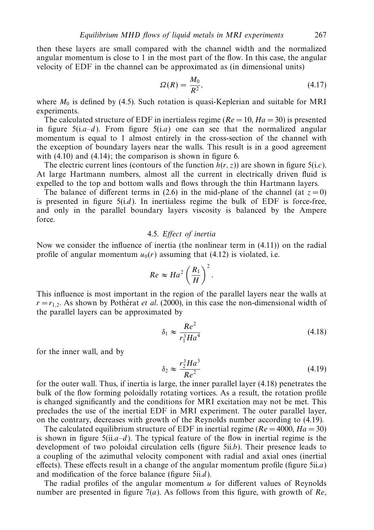$$
\Omega(R) = \frac{M_0}{R^2},\tag{4.17}
$$

where  $M_0$  is defined by (4.5). Such rotation is quasi-Keplerian and suitable for MRI experiments.

The calculated structure of EDF in inertialess regime ( $Re = 10$ ,  $Ha = 30$ ) is presented in figure  $5(i.a-d)$ . From figure  $5(i.a)$  one can see that the normalized angular momentum is equal to 1 almost entirely in the cross-section of the channel with the exception of boundary layers near the walls. This result is in a good agreement with  $(4.10)$  and  $(4.14)$ ; the comparison is shown in figure 6.

The electric current lines (contours of the function  $h(r, z)$ ) are shown in figure 5(i.c). At large Hartmann numbers, almost all the current in electrically driven fluid is expelled to the top and bottom walls and flows through the thin Hartmann layers.

The balance of different terms in (2.6) in the mid-plane of the channel (at  $z = 0$ ) is presented in figure  $5(i.d)$ . In inertialess regime the bulk of EDF is force-free, and only in the parallel boundary layers viscosity is balanced by the Ampere force.

## 4.5. Effect of inertia

Now we consider the influence of inertia (the nonlinear term in (4.11)) on the radial profile of angular momentum  $u_0(r)$  assuming that (4.12) is violated, i.e.

$$
Re \approx Ha^2 \left(\frac{R_1}{H}\right)^2.
$$

This influence is most important in the region of the parallel layers near the walls at  $r = r_{1,2}$ . As shown by Potherat *et al.* (2000), in this case the non-dimensional width of the parallel layers can be approximated by

$$
\delta_1 \approx \frac{Re^2}{r_1^3 H a^4} \tag{4.18}
$$

for the inner wall, and by

$$
\delta_2 \approx \frac{r_2^3 H a^3}{Re^2} \tag{4.19}
$$

for the outer wall. Thus, if inertia is large, the inner parallel layer (4.18) penetrates the bulk of the flow forming poloidally rotating vortices. As a result, the rotation profile is changed significantly and the conditions for MRI excitation may not be met. This precludes the use of the inertial EDF in MRI experiment. The outer parallel layer, on the contrary, decreases with growth of the Reynolds number according to (4.19).

The calculated equilibrium structure of EDF in inertial regime ( $Re = 4000$ ,  $Ha = 30$ ) is shown in figure  $5(ii.a-d)$ . The typical feature of the flow in inertial regime is the development of two poloidal circulation cells (figure 5ii.b). Their presence leads to a coupling of the azimuthal velocity component with radial and axial ones (inertial effects). These effects result in a change of the angular momentum profile (figure  $5ii.a$ ) and modification of the force balance (figure 5ii.d).

The radial profiles of the angular momentum *u* for different values of Reynolds number are presented in figure  $7(a)$ . As follows from this figure, with growth of Re,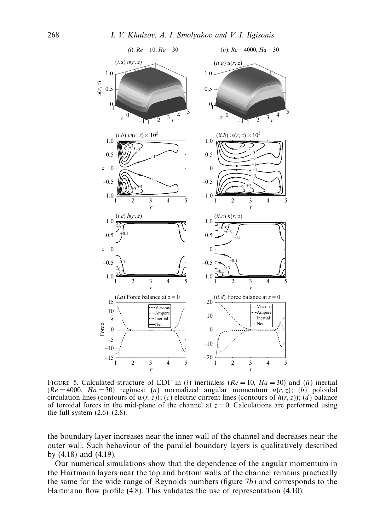

FIGURE 5. Calculated structure of EDF in (i) inertialess ( $Re = 10$ ,  $Ha = 30$ ) and (ii) inertial  $(Re = 4000, Ha = 30)$  regimes: (a) normalized angular momentum  $u(r, z)$ ; (b) poloidal circulation lines (contours of  $w(r, z)$ ); (c) electric current lines (contours of  $h(r, z)$ ); (d) balance of toroidal forces in the mid-plane of the channel at  $z = 0$ . Calculations are performed using the full system  $(2.6)$ – $(2.8)$ .

the boundary layer increases near the inner wall of the channel and decreases near the outer wall. Such behaviour of the parallel boundary layers is qualitatively described by (4.18) and (4.19).

Our numerical simulations show that the dependence of the angular momentum in the Hartmann layers near the top and bottom walls of the channel remains practically the same for the wide range of Reynolds numbers (figure 7b) and corresponds to the Hartmann flow profile (4.8). This validates the use of representation (4.10).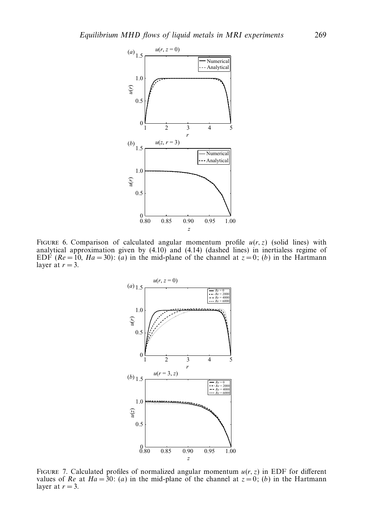

FIGURE 6. Comparison of calculated angular momentum profile  $u(r, z)$  (solid lines) with analytical approximation given by (4.10) and (4.14) (dashed lines) in inertialess regime of EDF ( $Re = 10$ ,  $Ha = 30$ ): (a) in the mid-plane of the channel at  $z = 0$ ; (b) in the Hartmann layer at  $r = 3$ .



FIGURE 7. Calculated profiles of normalized angular momentum  $u(r, z)$  in EDF for different values of Re at  $Ha = 30$ : (a) in the mid-plane of the channel at  $z = 0$ ; (b) in the Hartmann layer at  $r = 3$ .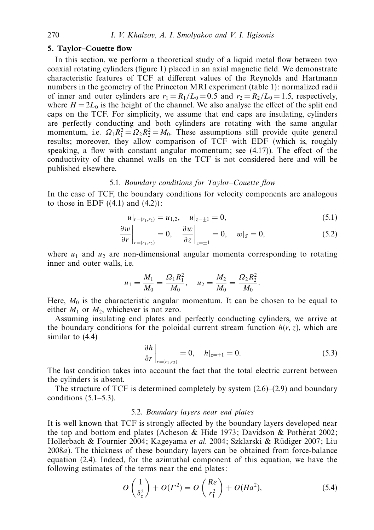#### *5. Taylor–Couette flow*

In this section, we perform a theoretical study of a liquid metal flow between two coaxial rotating cylinders (figure 1) placed in an axial magnetic field. We demonstrate characteristic features of TCF at different values of the Reynolds and Hartmann numbers in the geometry of the Princeton MRI experiment (table 1): normalized radii of inner and outer cylinders are  $r_1 = R_1/L_0 = 0.5$  and  $r_2 = R_2/L_0 = 1.5$ , respectively, where  $H = 2L_0$  is the height of the channel. We also analyse the effect of the split end caps on the TCF. For simplicity, we assume that end caps are insulating, cylinders are perfectly conducting and both cylinders are rotating with the same angular momentum, i.e.  $\Omega_1 R_1^2 = \Omega_2 R_2^2 = M_0$ . These assumptions still provide quite general results; moreover, they allow comparison of TCF with EDF (which is, roughly speaking, a flow with constant angular momentum; see (4.17)). The effect of the conductivity of the channel walls on the TCF is not considered here and will be published elsewhere.

# 5.1. Boundary conditions for Taylor-Couette flow

In the case of TCF, the boundary conditions for velocity components are analogous to those in EDF  $((4.1)$  and  $(4.2))$ :

$$
u|_{r=(r_1,r_2)} = u_{1,2}, \quad u|_{z=\pm 1} = 0,
$$
\n(5.1)

$$
\left. \frac{\partial w}{\partial r} \right|_{r = (r_1, r_2)} = 0, \quad \left. \frac{\partial w}{\partial z} \right|_{z = \pm 1} = 0, \quad w|_{S} = 0, \tag{5.2}
$$

where  $u_1$  and  $u_2$  are non-dimensional angular momenta corresponding to rotating inner and outer walls, i.e.

$$
u_1 = \frac{M_1}{M_0} = \frac{\Omega_1 R_1^2}{M_0}, \quad u_2 = \frac{M_2}{M_0} = \frac{\Omega_2 R_2^2}{M_0}.
$$

Here,  $M_0$  is the characteristic angular momentum. It can be chosen to be equal to either  $M_1$  or  $M_2$ , whichever is not zero.

Assuming insulating end plates and perfectly conducting cylinders, we arrive at the boundary conditions for the poloidal current stream function  $h(r, z)$ , which are similar to (4.4)

$$
\left. \frac{\partial h}{\partial r} \right|_{r = (r_1, r_2)} = 0, \quad h|_{z = \pm 1} = 0. \tag{5.3}
$$

The last condition takes into account the fact that the total electric current between the cylinders is absent.

The structure of TCF is determined completely by system  $(2.6)$ – $(2.9)$  and boundary conditions  $(5.1–5.3)$ .

## 5.2. Boundary layers near end plates

It is well known that TCF is strongly affected by the boundary layers developed near the top and bottom end plates (Acheson & Hide 1973; Davidson & Potherat 2002; Hollerbach & Fournier 2004; Kageyama et al. 2004; Szklarski & Rüdiger 2007; Liu 2008a). The thickness of these boundary layers can be obtained from force-balance equation (2.4). Indeed, for the azimuthal component of this equation, we have the following estimates of the terms near the end plates:

$$
O\left(\frac{1}{\delta_z^2}\right) + O(\Gamma^2) = O\left(\frac{Re}{r_1^2}\right) + O(Ha^2),\tag{5.4}
$$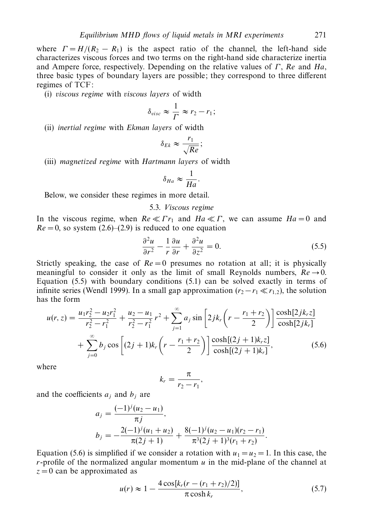where  $\Gamma = H/(R_2 - R_1)$  is the aspect ratio of the channel, the left-hand side characterizes viscous forces and two terms on the right-hand side characterize inertia and Ampere force, respectively. Depending on the relative values of *Γ* , Re and Ha, three basic types of boundary layers are possible; they correspond to three different regimes of TCF:

(i) viscous regime with viscous layers of width

$$
\delta_{visc} \approx \frac{1}{\Gamma} \approx r_2 - r_1;
$$

(ii) inertial regime with Ekman layers of width

$$
\delta_{Ek} \approx \frac{r_1}{\sqrt{Re}};
$$

(iii) magnetized regime with Hartmann layers of width

$$
\delta_{Ha} \approx \frac{1}{Ha}.
$$

Below, we consider these regimes in more detail.

#### 5.3. Viscous regime

In the viscous regime, when  $Re \ll \Gamma r_1$  and  $Ha \ll \Gamma$ , we can assume  $Ha = 0$  and  $Re = 0$ , so system  $(2.6)$ – $(2.9)$  is reduced to one equation

$$
\frac{\partial^2 u}{\partial r^2} - \frac{1}{r} \frac{\partial u}{\partial r} + \frac{\partial^2 u}{\partial z^2} = 0.
$$
 (5.5)

Strictly speaking, the case of  $Re = 0$  presumes no rotation at all; it is physically meaningful to consider it only as the limit of small Reynolds numbers,  $Re \rightarrow 0$ . Equation (5.5) with boundary conditions (5.1) can be solved exactly in terms of infinite series (Wendl 1999). In a small gap approximation  $(r_2 - r_1 \ll r_{1,2})$ , the solution has the form

$$
u(r, z) = \frac{u_1 r_2^2 - u_2 r_1^2}{r_2^2 - r_1^2} + \frac{u_2 - u_1}{r_2^2 - r_1^2} r^2 + \sum_{j=1}^{\infty} a_j \sin\left[2jk_r \left(r - \frac{r_1 + r_2}{2}\right)\right] \frac{\cosh[2jk_r z]}{\cosh[2jk_r]} + \sum_{j=0}^{\infty} b_j \cos\left[(2j+1)k_r \left(r - \frac{r_1 + r_2}{2}\right)\right] \frac{\cosh[(2j+1)k_r z]}{\cosh[(2j+1)k_r]},
$$
(5.6)

where

$$
k_r = \frac{\pi}{r_2 - r_1},
$$

and the coefficients  $a_i$  and  $b_j$  are

$$
a_j = \frac{(-1)^j (u_2 - u_1)}{\pi j},
$$
  
\n
$$
b_j = -\frac{2(-1)^j (u_1 + u_2)}{\pi (2j + 1)} + \frac{8(-1)^j (u_2 - u_1)(r_2 - r_1)}{\pi^3 (2j + 1)^3 (r_1 + r_2)}.
$$

Equation (5.6) is simplified if we consider a rotation with  $u_1 = u_2 = 1$ . In this case, the *r*-profile of the normalized angular momentum *u* in the mid-plane of the channel at  $z = 0$  can be approximated as

$$
u(r) \approx 1 - \frac{4\cos[k_r(r - (r_1 + r_2)/2)]}{\pi\cosh k_r},
$$
\n(5.7)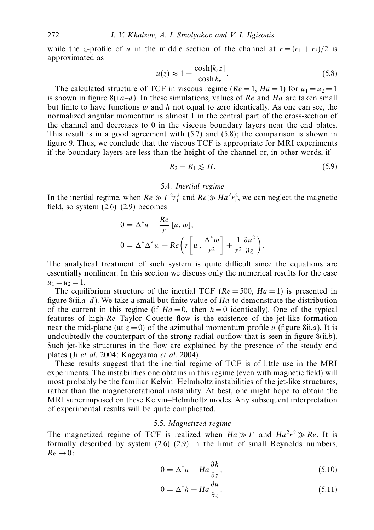while the *z*-profile of *u* in the middle section of the channel at  $r = (r_1 + r_2)/2$  is approximated as

$$
u(z) \approx 1 - \frac{\cosh[k_r z]}{\cosh k_r}.
$$
 (5.8)

The calculated structure of TCF in viscous regime ( $Re = 1$ ,  $Ha = 1$ ) for  $u_1 = u_2 = 1$ is shown in figure  $8(i.a-d)$ . In these simulations, values of Re and Ha are taken small but finite to have functions *w* and *h* not equal to zero identically. As one can see, the normalized angular momentum is almost 1 in the central part of the cross-section of the channel and decreases to 0 in the viscous boundary layers near the end plates. This result is in a good agreement with (5.7) and (5.8); the comparison is shown in figure 9. Thus, we conclude that the viscous TCF is appropriate for MRI experiments if the boundary layers are less than the height of the channel or, in other words, if

$$
R_2 - R_1 \lesssim H. \tag{5.9}
$$

# 5.4. Inertial regime

In the inertial regime, when  $Re \gg \Gamma^2 r_1^2$  and  $Re \gg Ha^2 r_1^2$ , we can neglect the magnetic field, so system  $(2.6)$ – $(2.9)$  becomes

$$
0 = \Delta^* u + \frac{Re}{r} [u, w],
$$
  
\n
$$
0 = \Delta^* \Delta^* w - Re \left( r \left[ w, \frac{\Delta^* w}{r^2} \right] + \frac{1}{r^2} \frac{\partial u^2}{\partial z} \right).
$$

The analytical treatment of such system is quite difficult since the equations are essentially nonlinear. In this section we discuss only the numerical results for the case  $u_1 = u_2 = 1.$ 

The equilibrium structure of the inertial TCF ( $Re = 500$ ,  $Ha = 1$ ) is presented in figure  $8(ii.a-d)$ . We take a small but finite value of Ha to demonstrate the distribution of the current in this regime (if  $Ha = 0$ , then  $h = 0$  identically). One of the typical features of high-Re Taylor–Couette flow is the existence of the jet-like formation near the mid-plane (at  $z = 0$ ) of the azimuthal momentum profile *u* (figure 8ii.*a*). It is undoubtedly the counterpart of the strong radial outflow that is seen in figure  $8(ii.b)$ . Such jet-like structures in the flow are explained by the presence of the steady end plates (Ji et al. 2004; Kageyama et al. 2004).

These results suggest that the inertial regime of TCF is of little use in the MRI experiments. The instabilities one obtains in this regime (even with magnetic field) will most probably be the familiar Kelvin–Helmholtz instabilities of the jet-like structures, rather than the magnetorotational instability. At best, one might hope to obtain the MRI superimposed on these Kelvin–Helmholtz modes. Any subsequent interpretation of experimental results will be quite complicated.

# 5.5. Magnetized regime

The magnetized regime of TCF is realized when  $Ha \gg \Gamma$  and  $Ha^2r_1^2 \gg Re$ . It is formally described by system  $(2.6)$ – $(2.9)$  in the limit of small Reynolds numbers,  $Re \rightarrow 0$ :

$$
0 = \Delta^* u + H a \frac{\partial h}{\partial z},\tag{5.10}
$$

$$
0 = \Delta^* h + H a \frac{\partial u}{\partial z}.
$$
\n(5.11)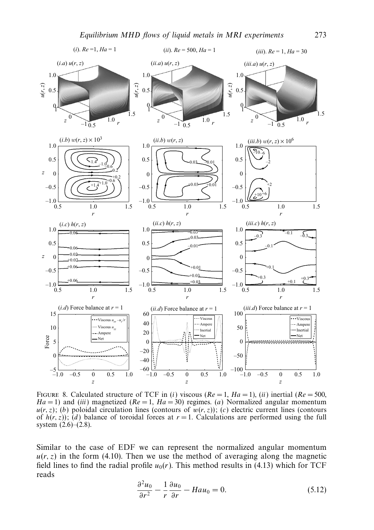

FIGURE 8. Calculated structure of TCF in (i) viscous ( $Re = 1$ ,  $Ha = 1$ ), (ii) inertial ( $Re = 500$ ,  $Ha = 1$ ) and *(iii)* magnetized  $(Re = 1, Ha = 30)$  regimes. *(a)* Normalized angular momentum  $u(r, z)$ ; (b) poloidal circulation lines (contours of  $w(r, z)$ ); (c) electric current lines (contours of  $h(r, z)$ ; (d) balance of toroidal forces at  $r = 1$ . Calculations are performed using the full system (2.6)–(2.8).

Similar to the case of EDF we can represent the normalized angular momentum  $u(r, z)$  in the form (4.10). Then we use the method of averaging along the magnetic field lines to find the radial profile  $u_0(r)$ . This method results in (4.13) which for TCF reads

$$
\frac{\partial^2 u_0}{\partial r^2} - \frac{1}{r} \frac{\partial u_0}{\partial r} - H a u_0 = 0.
$$
 (5.12)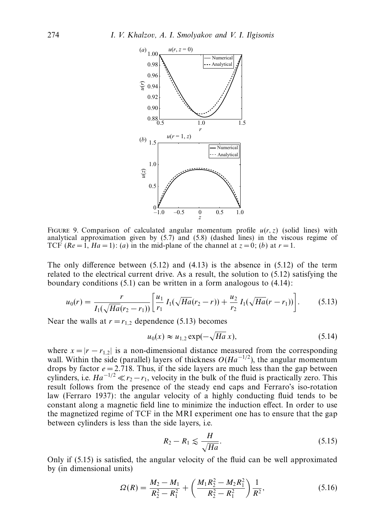

FIGURE 9. Comparison of calculated angular momentum profile  $u(r, z)$  (solid lines) with analytical approximation given by (5.7) and (5.8) (dashed lines) in the viscous regime of TCF ( $Re = 1$ ,  $Ha = 1$ ): (a) in the mid-plane of the channel at  $z = 0$ ; (b) at  $r = 1$ .

The only difference between  $(5.12)$  and  $(4.13)$  is the absence in  $(5.12)$  of the term related to the electrical current drive. As a result, the solution to (5.12) satisfying the boundary conditions (5.1) can be written in a form analogous to (4.14):

$$
u_0(r) = \frac{r}{I_1(\sqrt{Ha}(r_2 - r_1))} \left[ \frac{u_1}{r_1} I_1(\sqrt{Ha}(r_2 - r)) + \frac{u_2}{r_2} I_1(\sqrt{Ha}(r - r_1)) \right].
$$
 (5.13)

Near the walls at  $r = r_{1,2}$  dependence (5.13) becomes

$$
u_0(x) \approx u_{1,2} \exp(-\sqrt{Ha} x), \tag{5.14}
$$

where  $x = |r - r_{1,2}|$  is a non-dimensional distance measured from the corresponding wall. Within the side (parallel) layers of thickness  $O(Ha^{-1/2})$ , the angular momentum drops by factor  $e = 2.718$ . Thus, if the side layers are much less than the gap between cylinders, i.e.  $Ha^{-1/2} \ll r_2 - r_1$ , velocity in the bulk of the fluid is practically zero. This result follows from the presence of the steady end caps and Ferraro's iso-rotation law (Ferraro 1937): the angular velocity of a highly conducting fluid tends to be constant along a magnetic field line to minimize the induction effect. In order to use the magnetized regime of TCF in the MRI experiment one has to ensure that the gap between cylinders is less than the side layers, i.e.

$$
R_2 - R_1 \lesssim \frac{H}{\sqrt{Ha}}.\tag{5.15}
$$

Only if (5.15) is satisfied, the angular velocity of the fluid can be well approximated by (in dimensional units)

$$
\Omega(R) = \frac{M_2 - M_1}{R_2^2 - R_1^2} + \left(\frac{M_1 R_2^2 - M_2 R_1^2}{R_2^2 - R_1^2}\right) \frac{1}{R^2},
$$
\n(5.16)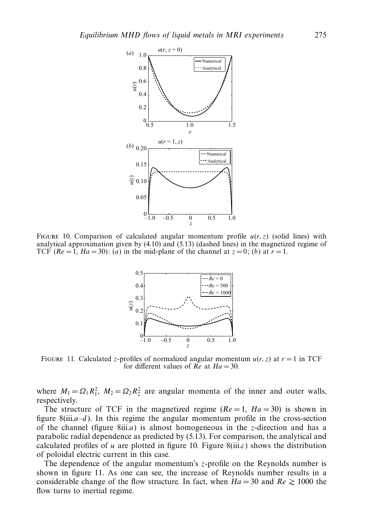

FIGURE 10. Comparison of calculated angular momentum profile  $u(r, z)$  (solid lines) with analytical approximation given by (4.10) and (5.13) (dashed lines) in the magnetized regime of TCF  $(Re = 1, Ha = 30)$ : (*a*) in the mid-plane of the channel at  $z = 0$ ; (*b*) at  $r = 1$ .



FIGURE 11. Calculated *z*-profiles of normalized angular momentum  $u(r, z)$  at  $r = 1$  in TCF for different values of  $Re$  at  $Ha = 30$ .

where  $M_1 = \Omega_1 R_1^2$ ,  $M_2 = \Omega_2 R_2^2$  are angular momenta of the inner and outer walls, respectively.

The structure of TCF in the magnetized regime ( $Re = 1$ ,  $Ha = 30$ ) is shown in figure  $8(iii.a-d)$ . In this regime the angular momentum profile in the cross-section of the channel (figure 8iii.a) is almost homogeneous in the *z*-direction and has a parabolic radial dependence as predicted by (5.13). For comparison, the analytical and calculated profiles of  $u$  are plotted in figure 10. Figure  $8(iii.c)$  shows the distribution of poloidal electric current in this case.

The dependence of the angular momentum's *z*-profile on the Reynolds number is shown in figure 11. As one can see, the increase of Reynolds number results in a considerable change of the flow structure. In fact, when  $Ha = 30$  and  $Re \ge 1000$  the flow turns to inertial regime.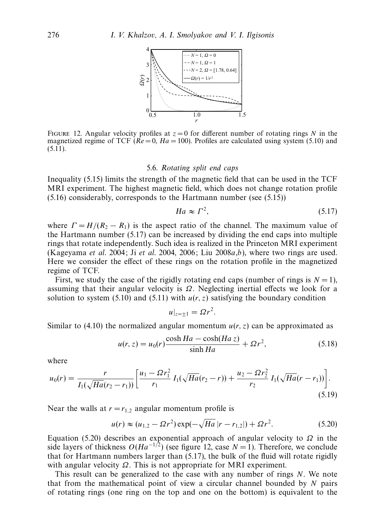

FIGURE 12. Angular velocity profiles at  $z = 0$  for different number of rotating rings *N* in the magnetized regime of TCF ( $\overline{Re} = 0$ ,  $Ha = 100$ ). Profiles are calculated using system (5.10) and  $(5.11).$ 

#### 5.6. Rotating split end caps

Inequality (5.15) limits the strength of the magnetic field that can be used in the TCF MRI experiment. The highest magnetic field, which does not change rotation profile (5.16) considerably, corresponds to the Hartmann number (see (5.15))

$$
Ha \approx \Gamma^2,\tag{5.17}
$$

where  $\Gamma = H/(R_2 - R_1)$  is the aspect ratio of the channel. The maximum value of the Hartmann number (5.17) can be increased by dividing the end caps into multiple rings that rotate independently. Such idea is realized in the Princeton MRI experiment (Kageyama et al. 2004; Ji et al. 2004, 2006; Liu 2008 $a,b$ ), where two rings are used. Here we consider the effect of these rings on the rotation profile in the magnetized regime of TCF.

First, we study the case of the rigidly rotating end caps (number of rings is  $N = 1$ ), assuming that their angular velocity is *Ω*. Neglecting inertial effects we look for a solution to system (5.10) and (5.11) with  $u(r, z)$  satisfying the boundary condition

$$
u|_{z=\pm 1} = \Omega r^2.
$$

Similar to (4.10) the normalized angular momentum  $u(r, z)$  can be approximated as

$$
u(r, z) = u_0(r) \frac{\cosh Ha - \cosh(Ha z)}{\sinh Ha} + \Omega r^2,
$$
\n(5.18)

where

$$
u_0(r) = \frac{r}{I_1(\sqrt{Ha}(r_2 - r_1))} \left[ \frac{u_1 - \Omega r_1^2}{r_1} I_1(\sqrt{Ha}(r_2 - r)) + \frac{u_2 - \Omega r_2^2}{r_2} I_1(\sqrt{Ha}(r - r_1)) \right].
$$
\n(5.19)

Near the walls at  $r = r_{1,2}$  angular momentum profile is

$$
u(r) \approx (u_{1,2} - \Omega r^2) \exp(-\sqrt{Ha}|r - r_{1,2}|) + \Omega r^2. \tag{5.20}
$$

Equation (5.20) describes an exponential approach of angular velocity to *Ω* in the side layers of thickness  $O(Ha^{-1/2})$  (see figure 12, case  $N = 1$ ). Therefore, we conclude that for Hartmann numbers larger than (5.17), the bulk of the fluid will rotate rigidly with angular velocity *Ω*. This is not appropriate for MRI experiment.

This result can be generalized to the case with any number of rings *N*. We note that from the mathematical point of view a circular channel bounded by *N* pairs of rotating rings (one ring on the top and one on the bottom) is equivalent to the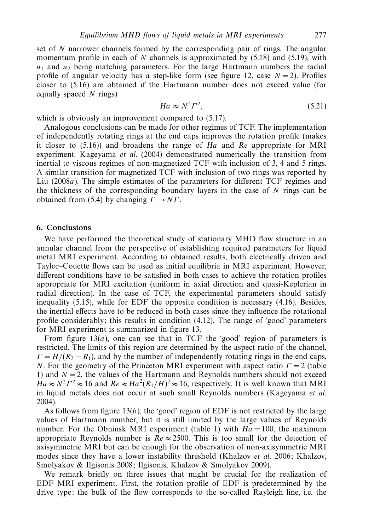set of *N* narrower channels formed by the corresponding pair of rings. The angular momentum profile in each of *N* channels is approximated by (5.18) and (5.19), with  $u_1$  and  $u_2$  being matching parameters. For the large Hartmann numbers the radial profile of angular velocity has a step-like form (see figure 12, case  $N = 2$ ). Profiles closer to (5.16) are obtained if the Hartmann number does not exceed value (for equally spaced *N* rings)

$$
Ha \approx N^2 \Gamma^2,\tag{5.21}
$$

which is obviously an improvement compared to  $(5.17)$ .

Analogous conclusions can be made for other regimes of TCF. The implementation of independently rotating rings at the end caps improves the rotation profile (makes it closer to  $(5.16)$ ) and broadens the range of Ha and Re appropriate for MRI experiment. Kageyama et al. (2004) demonstrated numerically the transition from inertial to viscous regimes of non-magnetized TCF with inclusion of 3, 4 and 5 rings. A similar transition for magnetized TCF with inclusion of two rings was reported by Liu (2008a). The simple estimates of the parameters for different TCF regimes and the thickness of the corresponding boundary layers in the case of *N* rings can be obtained from (5.4) by changing  $\Gamma \rightarrow N\Gamma$ .

#### *6. Conclusions*

We have performed the theoretical study of stationary MHD flow structure in an annular channel from the perspective of establishing required parameters for liquid metal MRI experiment. According to obtained results, both electrically driven and Taylor–Couette flows can be used as initial equilibria in MRI experiment. However, different conditions have to be satisfied in both cases to achieve the rotation profiles appropriate for MRI excitation (uniform in axial direction and quasi-Keplerian in radial direction). In the case of TCF, the experimental parameters should satisfy inequality (5.15), while for EDF the opposite condition is necessary (4.16). Besides, the inertial effects have to be reduced in both cases since they influence the rotational profile considerably; this results in condition (4.12). The range of 'good' parameters for MRI experiment is summarized in figure 13.

From figure  $13(a)$ , one can see that in TCF the 'good' region of parameters is restricted. The limits of this region are determined by the aspect ratio of the channel,  $\Gamma = H/(R_2 - R_1)$ , and by the number of independently rotating rings in the end caps, *N*. For the geometry of the Princeton MRI experiment with aspect ratio *Γ* = 2 (table 1) and  $N = 2$ , the values of the Hartmann and Reynolds numbers should not exceed  $Ha \approx N^2 \Gamma^2 \approx 16$  and  $Re \approx Ha^2(R_1/H)^2 \approx 16$ , respectively. It is well known that MRI in liquid metals does not occur at such small Reynolds numbers (Kageyama et al. 2004).

As follows from figure  $13(b)$ , the 'good' region of EDF is not restricted by the large values of Hartmann number, but it is still limited by the large values of Reynolds number. For the Obninsk MRI experiment (table 1) with  $Ha = 100$ , the maximum appropriate Reynolds number is  $Re \approx 2500$ . This is too small for the detection of axisymmetric MRI but can be enough for the observation of non-axisymmetric MRI modes since they have a lower instability threshold (Khalzov et al. 2006; Khalzov, Smolyakov & Ilgisonis 2008; Ilgisonis, Khalzov & Smolyakov 2009).

We remark briefly on three issues that might be crucial for the realization of EDF MRI experiment. First, the rotation profile of EDF is predetermined by the drive type: the bulk of the flow corresponds to the so-called Rayleigh line, i.e. the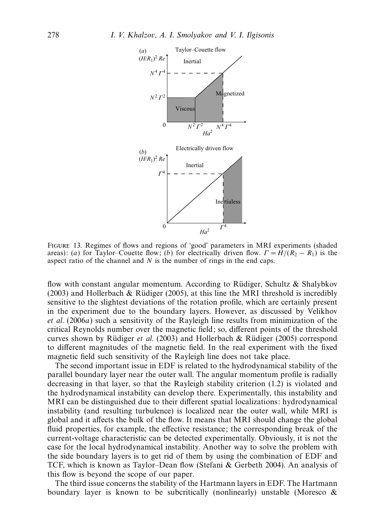

Figure 13. Regimes of flows and regions of 'good' parameters in MRI experiments (shaded areas): (a) for Taylor–Couette flow; (b) for electrically driven flow.  $\Gamma = H/(R_2 - R_1)$  is the aspect ratio of the channel and *N* is the number of rings in the end caps.

flow with constant angular momentum. According to Rüdiger, Schultz & Shalybkov (2003) and Hollerbach & Rüdiger (2005), at this line the MRI threshold is incredibly sensitive to the slightest deviations of the rotation profile, which are certainly present in the experiment due to the boundary layers. However, as discussed by Velikhov et al. (2006a) such a sensitivity of the Rayleigh line results from minimization of the critical Reynolds number over the magnetic field; so, different points of the threshold curves shown by Rüdiger et al. (2003) and Hollerbach & Rüdiger (2005) correspond to different magnitudes of the magnetic field. In the real experiment with the fixed magnetic field such sensitivity of the Rayleigh line does not take place.

The second important issue in EDF is related to the hydrodynamical stability of the parallel boundary layer near the outer wall. The angular momentum profile is radially decreasing in that layer, so that the Rayleigh stability criterion (1.2) is violated and the hydrodynamical instability can develop there. Experimentally, this instability and MRI can be distinguished due to their different spatial localizations: hydrodynamical instability (and resulting turbulence) is localized near the outer wall, while MRI is global and it affects the bulk of the flow. It means that MRI should change the global fluid properties, for example, the effective resistance; the corresponding break of the current-voltage characteristic can be detected experimentally. Obviously, it is not the case for the local hydrodynamical instability. Another way to solve the problem with the side boundary layers is to get rid of them by using the combination of EDF and TCF, which is known as Taylor–Dean flow (Stefani & Gerbeth 2004). An analysis of this flow is beyond the scope of our paper.

The third issue concerns the stability of the Hartmann layers in EDF. The Hartmann boundary layer is known to be subcritically (nonlinearly) unstable (Moresco  $\&$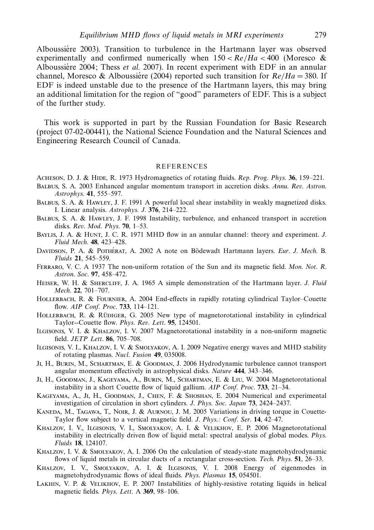Alboussiére 2003). Transition to turbulence in the Hartmann layer was observed experimentally and confirmed numerically when  $150 < Re/Ha < 400$  (Moresco & Alboussiere 2004; Thess et al. 2007). In recent experiment with EDF in an annular channel, Moresco & Alboussiere (2004) reported such transition for  $Re/Ha = 380$ . If EDF is indeed unstable due to the presence of the Hartmann layers, this may bring an additional limitation for the region of "good" parameters of EDF. This is a subject of the further study.

This work is supported in part by the Russian Foundation for Basic Research (project 07-02-00441), the National Science Foundation and the Natural Sciences and Engineering Research Council of Canada.

#### REFERENCES

- Acheson, D. J. & Hide, R. 1973 Hydromagnetics of rotating fluids. Rep. Prog. Phys. **36**, 159–221.
- Balbus, S. A. 2003 Enhanced angular momentum transport in accretion disks. Annu. Rev. Astron. Astrophys. **41**, 555–597.
- Balbus, S. A. & Hawley, J. F. 1991 A powerful local shear instability in weakly magnetized disks. I. Linear analysis. Astrophys. J. **376**, 214–222.
- Balbus, S. A. & Hawley, J. F. 1998 Instability, turbulence, and enhanced transport in accretion disks. Rev. Mod. Phys. **70**, 1–53.
- BAYLIS, J. A. & HUNT, J. C. R. 1971 MHD flow in an annular channel: theory and experiment. J. Fluid Mech. **48**, 423–428.
- DAVIDSON, P. A. & POTHÉRAT, A. 2002 A note on Bödewadt Hartmann layers. Eur. J. Mech. B. Fluids **21**, 545–559.
- Ferraro, V. C. A 1937 The non-uniform rotation of the Sun and its magnetic field. Mon. Not. R. Astron. Soc. **97**, 458–472.
- HEISER, W. H. & SHERCLIFF, J. A. 1965 A simple demonstration of the Hartmann layer. J. Fluid Mech. **22**, 701–707.
- HOLLERBACH, R. & FOURNIER, A. 2004 End-effects in rapidly rotating cylindrical Taylor–Couette flow. AIP Conf. Proc. **733**, 114–121.
- HOLLERBACH, R. & RÜDIGER, G. 2005 New type of magnetorotational instability in cylindrical Taylor--Couette flow. Phys. Rev. Lett. **95**, 124501.
- Ilgisonis, V. I. & Khalzov, I. V. 2007 Magnetorotational instability in a non-uniform magnetic field. JETP Lett. **86**, 705–708.
- Ilgisonis, V. I., Khalzov, I. V. & Smolyakov, A. I. 2009 Negative energy waves and MHD stability of rotating plasmas. Nucl. Fusion **49**, 035008.
- Ji, H., Burin, M., Schartman, E. & Goodman, J. 2006 Hydrodynamic turbulence cannot transport angular momentum effectively in astrophysical disks. Nature **444**, 343–346.
- Ji, H., Goodman, J., Kageyama, A., Burin, M., Schartman, E. & Liu, W. 2004 Magnetorotational instability in a short Couette flow of liquid gallium. AIP Conf. Proc. **733**, 21–34.
- Kageyama, A., Ji, H., Goodman, J., Chen, F. & Shoshan, E. 2004 Numerical and experimental investigation of circulation in short cylinders. J. Phys. Soc. Japan **73**, 2424–2437.
- KANEDA, M., TAGAWA, T., NOIR, J. & AURNOU, J. M. 2005 Variations in driving torque in Couette-Taylor flow subject to a vertical magnetic field. J. Phys.: Conf. Ser. **14**, 42–47.
- Khalzov, I. V., Ilgisonis, V. I., Smolyakov, A. I. & Velikhov, E. P. 2006 Magnetorotational instability in electrically driven flow of liquid metal: spectral analysis of global modes. Phys. Fluids **18**, 124107.
- KHALZOV, I. V. & SMOLYAKOV, A. I. 2006 On the calculation of steady-state magnetohydrodynamic flows of liquid metals in circular ducts of a rectangular cross-section. Tech. Phys. **51**, 26–33.
- Khalzov, I. V., Smolyakov, A. I. & Ilgisonis, V. I. 2008 Energy of eigenmodes in magnetohydrodynamic flows of ideal fluids. Phys. Plasmas **15**, 054501.
- Lakhin, V. P. & Velikhov, E. P. 2007 Instabilities of highly-resistive rotating liquids in helical magnetic fields. Phys. Lett. A **369**, 98–106.